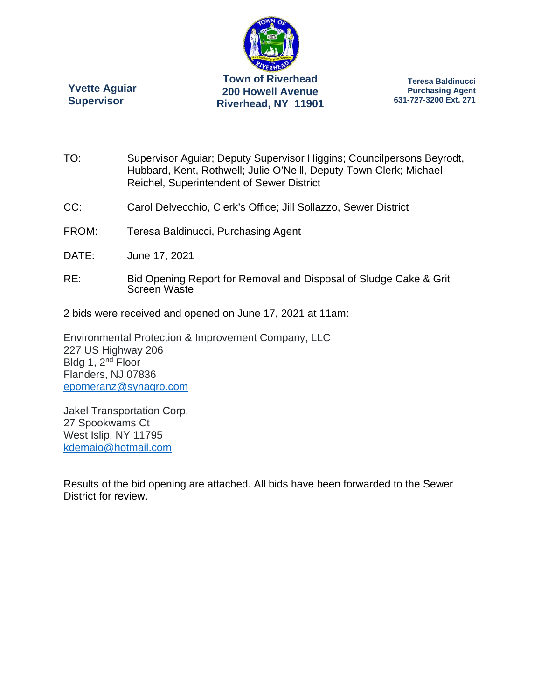

**Yvette Aguiar Supervisor** 

**Teresa Baldinucci Purchasing Agent 631-727-3200 Ext. 271** 

- TO: Supervisor Aguiar; Deputy Supervisor Higgins; Councilpersons Beyrodt, Hubbard, Kent, Rothwell; Julie O'Neill, Deputy Town Clerk; Michael Reichel, Superintendent of Sewer District
- CC: Carol Delvecchio, Clerk's Office; Jill Sollazzo, Sewer District
- FROM: Teresa Baldinucci, Purchasing Agent
- DATE: June 17, 2021
- RE: Bid Opening Report for Removal and Disposal of Sludge Cake & Grit Screen Waste
- 2 bids were received and opened on June 17, 2021 at 11am:

Environmental Protection & Improvement Company, LLC 227 US Highway 206 Bldg 1, 2<sup>nd</sup> Floor Flanders, NJ 07836 epomeranz@synagro.com

Jakel Transportation Corp. 27 Spookwams Ct West Islip, NY 11795 kdemaio@hotmail.com

Results of the bid opening are attached. All bids have been forwarded to the Sewer District for review.